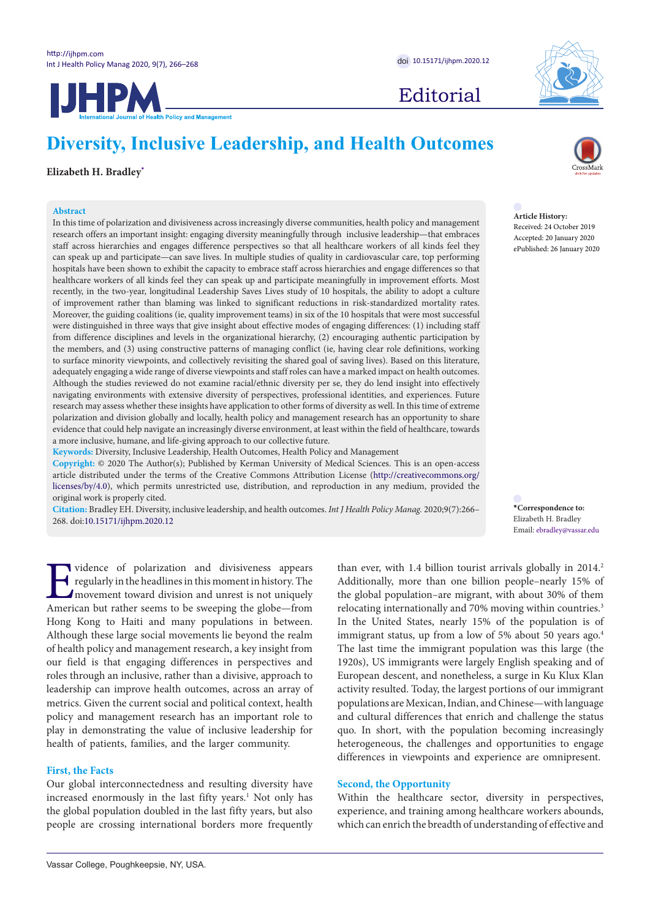Editorial



**Diversity, Inclusive Leadership, and Health Outcomes**

# **Elizabeth H. Bradley[\\*](#page-1-0)**

## **Abstract**

In this time of polarization and divisiveness across increasingly diverse communities, health policy and management research offers an important insight: engaging diversity meaningfully through inclusive leadership—that embraces staff across hierarchies and engages difference perspectives so that all healthcare workers of all kinds feel they can speak up and participate—can save lives. In multiple studies of quality in cardiovascular care, top performing hospitals have been shown to exhibit the capacity to embrace staff across hierarchies and engage differences so that healthcare workers of all kinds feel they can speak up and participate meaningfully in improvement efforts. Most recently, in the two-year, longitudinal Leadership Saves Lives study of 10 hospitals, the ability to adopt a culture of improvement rather than blaming was linked to significant reductions in risk-standardized mortality rates. Moreover, the guiding coalitions (ie, quality improvement teams) in six of the 10 hospitals that were most successful were distinguished in three ways that give insight about effective modes of engaging differences: (1) including staff from difference disciplines and levels in the organizational hierarchy, (2) encouraging authentic participation by the members, and (3) using constructive patterns of managing conflict (ie, having clear role definitions, working to surface minority viewpoints, and collectively revisiting the shared goal of saving lives). Based on this literature, adequately engaging a wide range of diverse viewpoints and staff roles can have a marked impact on health outcomes. Although the studies reviewed do not examine racial/ethnic diversity per se, they do lend insight into effectively navigating environments with extensive diversity of perspectives, professional identities, and experiences. Future research may assess whether these insights have application to other forms of diversity as well. In this time of extreme polarization and division globally and locally, health policy and management research has an opportunity to share evidence that could help navigate an increasingly diverse environment, at least within the field of healthcare, towards a more inclusive, humane, and life-giving approach to our collective future.

**Keywords:** Diversity, Inclusive Leadership, Health Outcomes, Health Policy and Management

**Copyright:** © 2020 The Author(s); Published by Kerman University of Medical Sciences. This is an open-access article distributed under the terms of the Creative Commons Attribution License ([http://creativecommons.org/](http://creativecommons.org/licenses/by/4.0) [licenses/by/4.0](http://creativecommons.org/licenses/by/4.0)), which permits unrestricted use, distribution, and reproduction in any medium, provided the original work is properly cited.

**Citation:** Bradley EH. Diversity, inclusive leadership, and health outcomes. *Int J Health Policy Manag.* 2020;9(7):266– 268. doi[:10.15171/ijhpm.2020.12](https://doi.org/10.15171/ijhpm.2020.12)



**Article History:** Received: 24 October 2019 Accepted: 20 January 2020 ePublished: 26 January 2020

**\*Correspondence to:** Elizabeth H. Bradley Email: ebradley@vassar.edu

Interaction and divisiveness appears<br>regularly in the headlines in this moment in history. The<br>movement toward division and unrest is not uniquely<br>American but rather seems to be sweeping the globe—from regularly in the headlines in this moment in history. The movement toward division and unrest is not uniquely American but rather seems to be sweeping the globe—from Hong Kong to Haiti and many populations in between. Although these large social movements lie beyond the realm of health policy and management research, a key insight from our field is that engaging differences in perspectives and roles through an inclusive, rather than a divisive, approach to leadership can improve health outcomes, across an array of metrics. Given the current social and political context, health policy and management research has an important role to play in demonstrating the value of inclusive leadership for health of patients, families, and the larger community.

## **First, the Facts**

Our global interconnectedness and resulting diversity have increased enormously in the last fifty years.<sup>1</sup> Not only has the global population doubled in the last fifty years, but also people are crossing international borders more frequently

than ever, with  $1.4$  billion tourist arrivals globally in  $2014.<sup>2</sup>$ Additionally, more than one billion people–nearly 15% of the global population–are migrant, with about 30% of them relocating internationally and 70% moving within countries.<sup>3</sup> In the United States, nearly 15% of the population is of immigrant status, up from a low of 5% about 50 years ago.<sup>4</sup> The last time the immigrant population was this large (the 1920s), US immigrants were largely English speaking and of European descent, and nonetheless, a surge in Ku Klux Klan activity resulted. Today, the largest portions of our immigrant populations are Mexican, Indian, and Chinese—with language and cultural differences that enrich and challenge the status quo. In short, with the population becoming increasingly heterogeneous, the challenges and opportunities to engage differences in viewpoints and experience are omnipresent.

## **Second, the Opportunity**

Within the healthcare sector, diversity in perspectives, experience, and training among healthcare workers abounds, which can enrich the breadth of understanding of effective and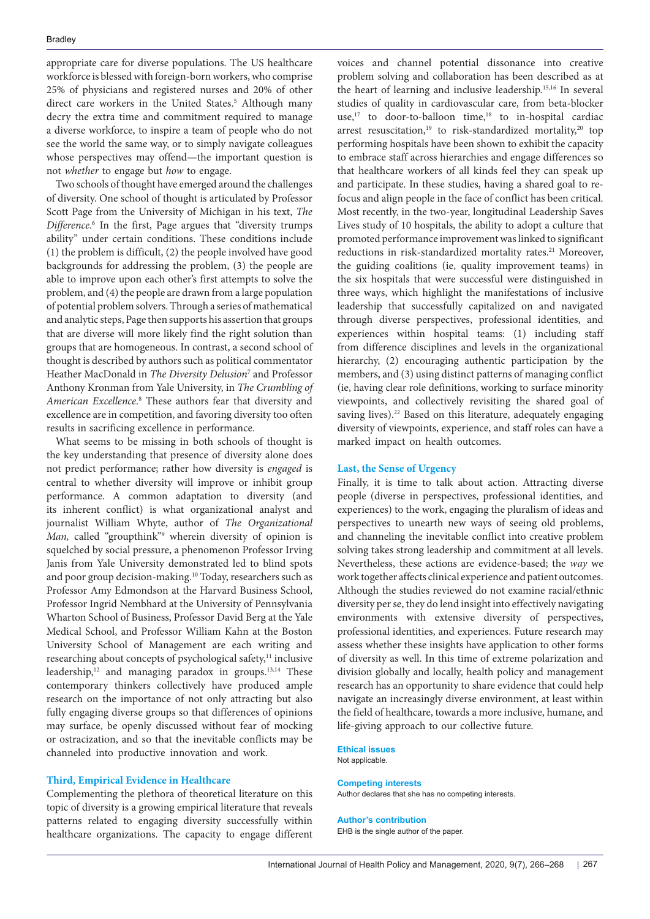appropriate care for diverse populations. The US healthcare workforce is blessed with foreign-born workers, who comprise 25% of physicians and registered nurses and 20% of other direct care workers in the United States.<sup>5</sup> Although many decry the extra time and commitment required to manage a diverse workforce, to inspire a team of people who do not see the world the same way, or to simply navigate colleagues whose perspectives may offend—the important question is not *whether* to engage but *how* to engage.

Two schools of thought have emerged around the challenges of diversity. One school of thought is articulated by Professor Scott Page from the University of Michigan in his text, *The Difference*. 6 In the first, Page argues that "diversity trumps ability" under certain conditions. These conditions include (1) the problem is difficult, (2) the people involved have good backgrounds for addressing the problem, (3) the people are able to improve upon each other's first attempts to solve the problem, and (4) the people are drawn from a large population of potential problem solvers. Through a series of mathematical and analytic steps, Page then supports his assertion that groups that are diverse will more likely find the right solution than groups that are homogeneous. In contrast, a second school of thought is described by authors such as political commentator Heather MacDonald in *The Diversity Delusion*<sup>7</sup> and Professor Anthony Kronman from Yale University, in *The Crumbling of*  American Excellence.<sup>8</sup> These authors fear that diversity and excellence are in competition, and favoring diversity too often results in sacrificing excellence in performance.

<span id="page-1-0"></span>What seems to be missing in both schools of thought is the key understanding that presence of diversity alone does not predict performance; rather how diversity is *engaged* is central to whether diversity will improve or inhibit group performance. A common adaptation to diversity (and its inherent conflict) is what organizational analyst and journalist William Whyte, author of *The Organizational*  Man, called "groupthink"<sup>9</sup> wherein diversity of opinion is squelched by social pressure, a phenomenon Professor Irving Janis from Yale University demonstrated led to blind spots and poor group decision-making.<sup>10</sup> Today, researchers such as Professor Amy Edmondson at the Harvard Business School, Professor Ingrid Nembhard at the University of Pennsylvania Wharton School of Business, Professor David Berg at the Yale Medical School, and Professor William Kahn at the Boston University School of Management are each writing and researching about concepts of psychological safety,<sup>11</sup> inclusive leadership,<sup>12</sup> and managing paradox in groups.<sup>13,14</sup> These contemporary thinkers collectively have produced ample research on the importance of not only attracting but also fully engaging diverse groups so that differences of opinions may surface, be openly discussed without fear of mocking or ostracization, and so that the inevitable conflicts may be channeled into productive innovation and work.

## **Third, Empirical Evidence in Healthcare**

Complementing the plethora of theoretical literature on this topic of diversity is a growing empirical literature that reveals patterns related to engaging diversity successfully within healthcare organizations. The capacity to engage different voices and channel potential dissonance into creative problem solving and collaboration has been described as at the heart of learning and inclusive leadership.15,16 In several studies of quality in cardiovascular care, from beta-blocker use,<sup>17</sup> to door-to-balloon time,<sup>18</sup> to in-hospital cardiac arrest resuscitation,<sup>19</sup> to risk-standardized mortality,<sup>20</sup> top performing hospitals have been shown to exhibit the capacity to embrace staff across hierarchies and engage differences so that healthcare workers of all kinds feel they can speak up and participate. In these studies, having a shared goal to refocus and align people in the face of conflict has been critical. Most recently, in the two-year, longitudinal Leadership Saves Lives study of 10 hospitals, the ability to adopt a culture that promoted performance improvement was linked to significant reductions in risk-standardized mortality rates.<sup>21</sup> Moreover, the guiding coalitions (ie, quality improvement teams) in the six hospitals that were successful were distinguished in three ways, which highlight the manifestations of inclusive leadership that successfully capitalized on and navigated through diverse perspectives, professional identities, and experiences within hospital teams: (1) including staff from difference disciplines and levels in the organizational hierarchy, (2) encouraging authentic participation by the members, and (3) using distinct patterns of managing conflict (ie, having clear role definitions, working to surface minority viewpoints, and collectively revisiting the shared goal of saving lives).<sup>22</sup> Based on this literature, adequately engaging diversity of viewpoints, experience, and staff roles can have a marked impact on health outcomes.

## **Last, the Sense of Urgency**

Finally, it is time to talk about action. Attracting diverse people (diverse in perspectives, professional identities, and experiences) to the work, engaging the pluralism of ideas and perspectives to unearth new ways of seeing old problems, and channeling the inevitable conflict into creative problem solving takes strong leadership and commitment at all levels. Nevertheless, these actions are evidence-based; the *way* we work together affects clinical experience and patient outcomes. Although the studies reviewed do not examine racial/ethnic diversity per se, they do lend insight into effectively navigating environments with extensive diversity of perspectives, professional identities, and experiences. Future research may assess whether these insights have application to other forms of diversity as well. In this time of extreme polarization and division globally and locally, health policy and management research has an opportunity to share evidence that could help navigate an increasingly diverse environment, at least within the field of healthcare, towards a more inclusive, humane, and life-giving approach to our collective future.

### **Ethical issues**

Not applicable.

#### **Competing interests**

Author declares that she has no competing interests.

#### **Author's contribution** EHB is the single author of the paper.